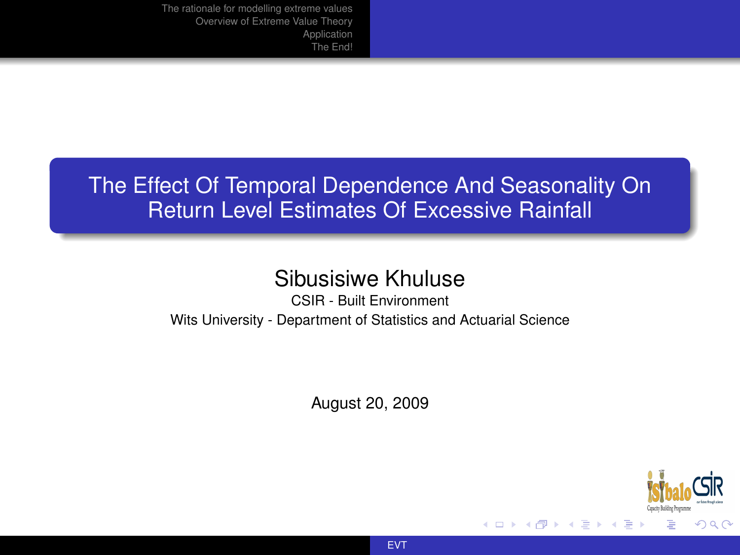# The Effect Of Temporal Dependence And Seasonality On Return Level Estimates Of Excessive Rainfall

## Sibusisiwe Khuluse

CSIR - Built Environment Wits University - Department of Statistics and Actuarial Science

August 20, 2009



4 D F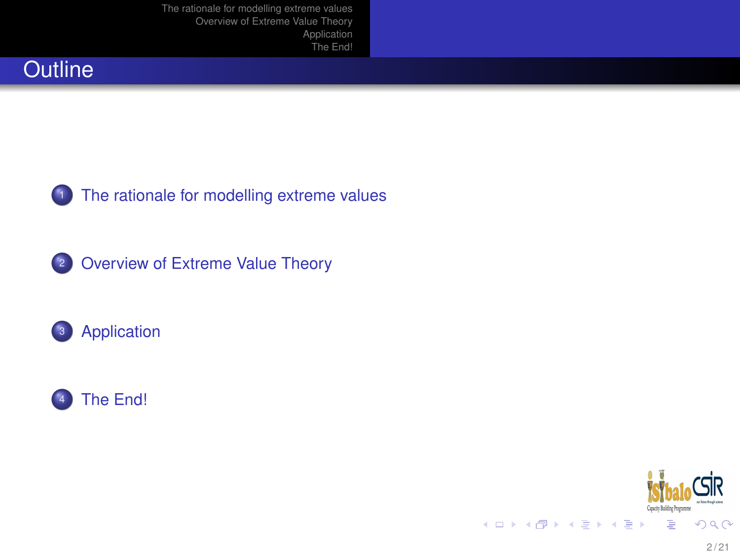







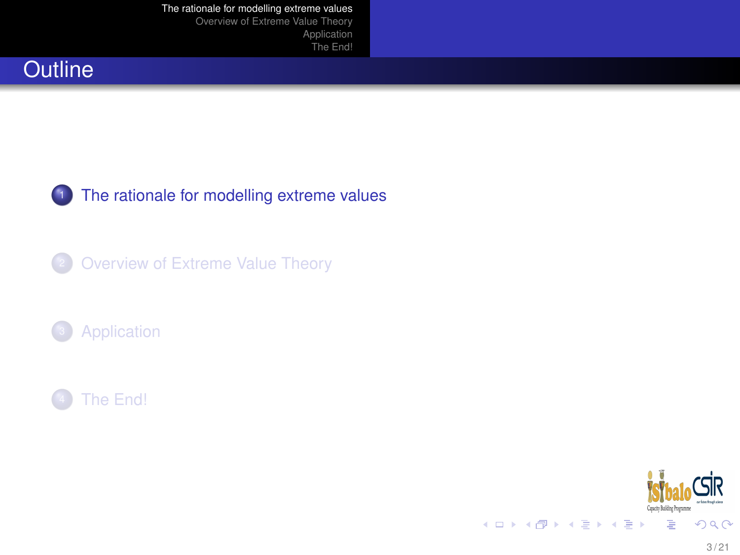[The rationale for modelling extreme values](#page-2-0)

[Overview of Extreme Value Theory](#page-6-0) [Application](#page-12-0) [The End!](#page-18-0)









<span id="page-2-0"></span>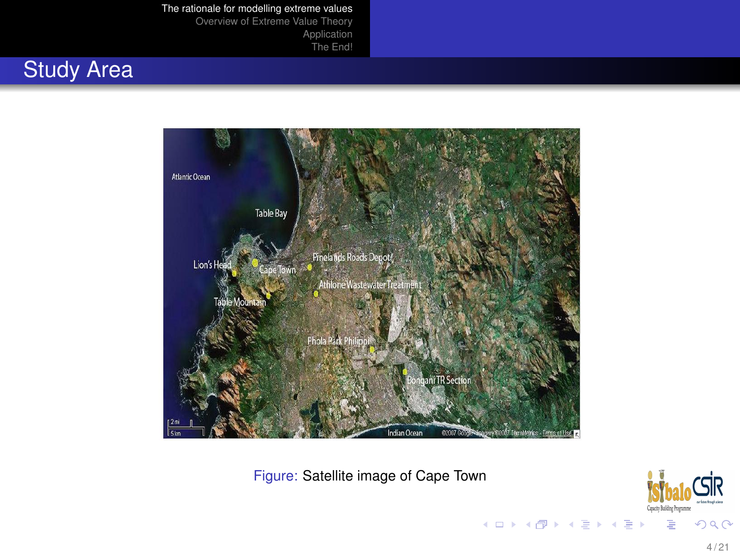#### [The rationale for modelling extreme values](#page-2-0)

[Overview of Extreme Value Theory](#page-6-0) **[Application](#page-12-0)** [The End!](#page-18-0)

## Study Area



Figure: Satellite image of Cape Town

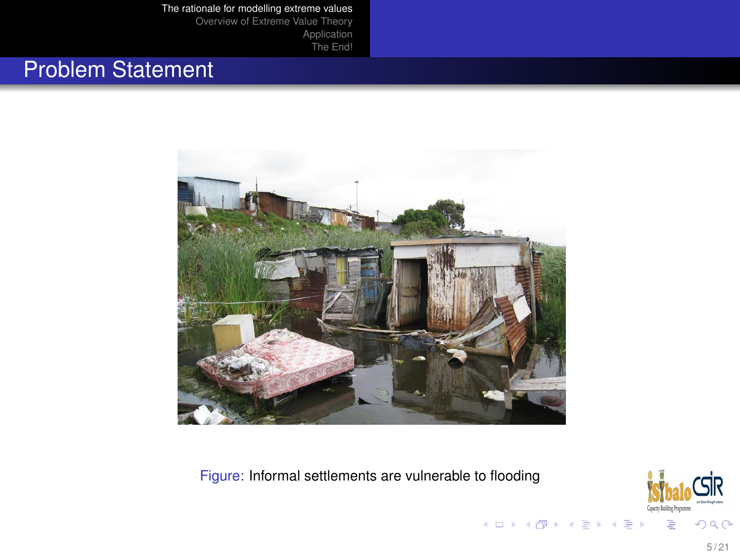[Application](#page-12-0)

[The End!](#page-18-0)

# Problem Statement



Figure: Informal settlements are vulnerable to flooding

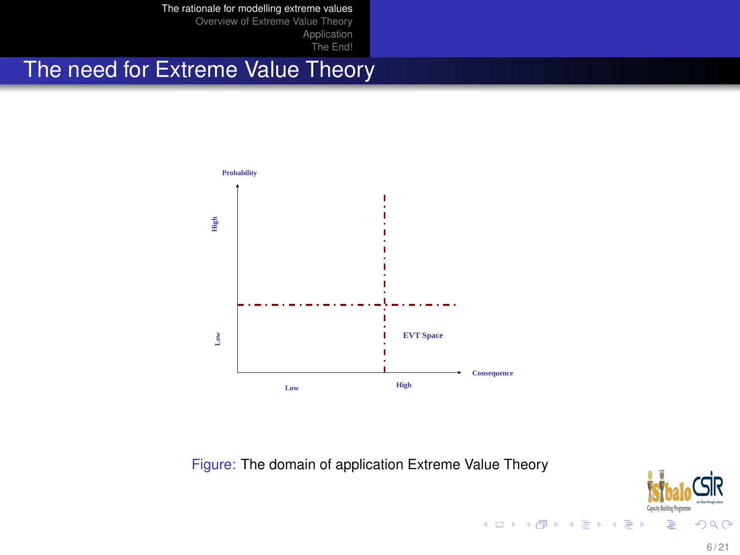[The rationale for modelling extreme values](#page-2-0)

[Overview of Extreme Value Theory](#page-6-0) [Application](#page-12-0)

[The End!](#page-18-0)

# The need for Extreme Value Theory



Figure: The domain of application Extreme Value Theory

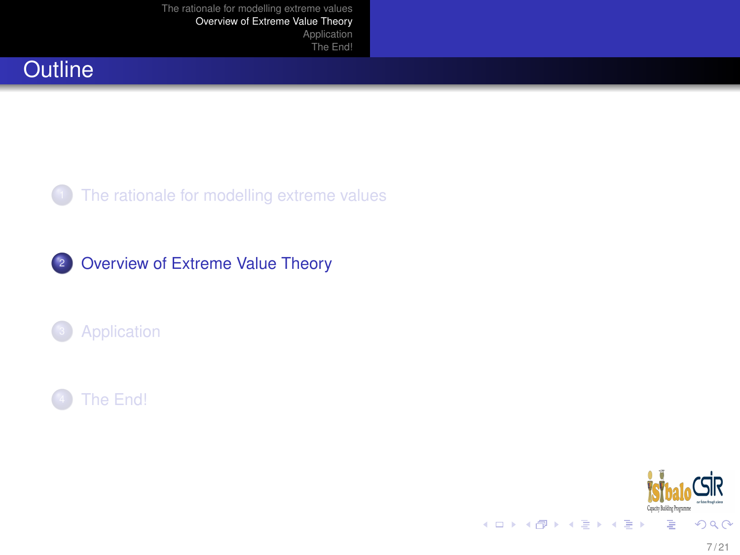







<span id="page-6-0"></span>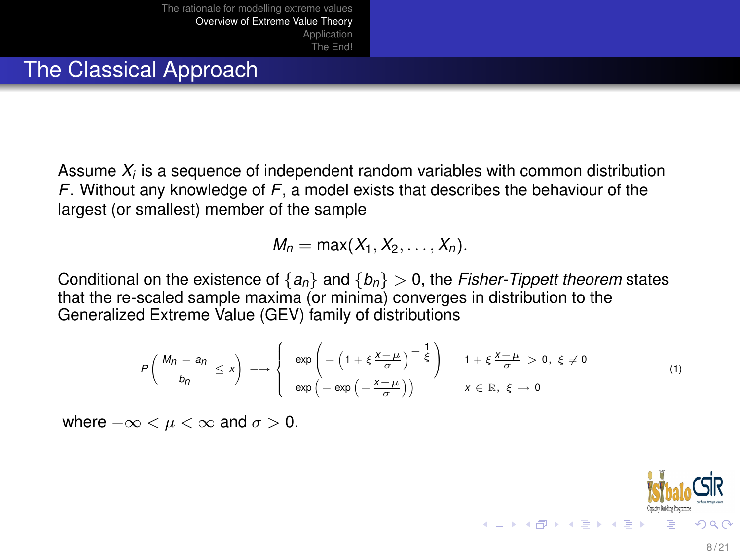#### The Classical Approach

Assume *X<sup>i</sup>* is a sequence of independent random variables with common distribution *F*. Without any knowledge of *F*, a model exists that describes the behaviour of the largest (or smallest) member of the sample

$$
M_n=\max(X_1,X_2,\ldots,X_n).
$$

Conditional on the existence of  ${a_n}$  and  ${b_n} > 0$ , the *Fisher-Tippett theorem* states that the re-scaled sample maxima (or minima) converges in distribution to the Generalized Extreme Value (GEV) family of distributions

$$
P\left(\frac{M_n-a_n}{b_n} \leq x\right) \longrightarrow \begin{cases} \exp\left(-\left(1+\xi\frac{x-\mu}{\sigma}\right)^{-\frac{1}{\xi}}\right) & 1+\xi\frac{x-\mu}{\sigma} > 0, \ \xi \neq 0 \\ \exp\left(-\exp\left(-\frac{x-\mu}{\sigma}\right)\right) & x \in \mathbb{R}, \ \xi \to 0 \end{cases}
$$
(1)

where  $-\infty < \mu < \infty$  and  $\sigma > 0$ .

**K ロ ト K 何 ト K ヨ ト K ヨ**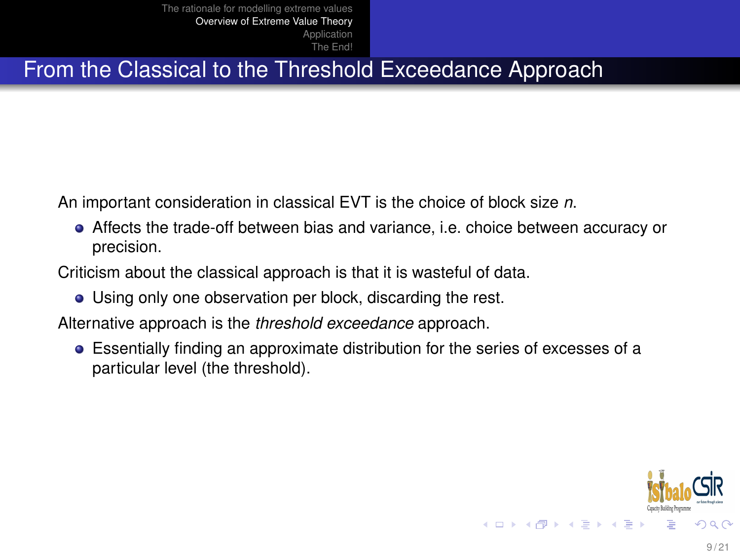#### From the Classical to the Threshold Exceedance Approach

An important consideration in classical EVT is the choice of block size *n*.

Affects the trade-off between bias and variance, i.e. choice between accuracy or precision.

Criticism about the classical approach is that it is wasteful of data.

Using only one observation per block, discarding the rest.

Alternative approach is the *threshold exceedance* approach.

Essentially finding an approximate distribution for the series of excesses of a particular level (the threshold).

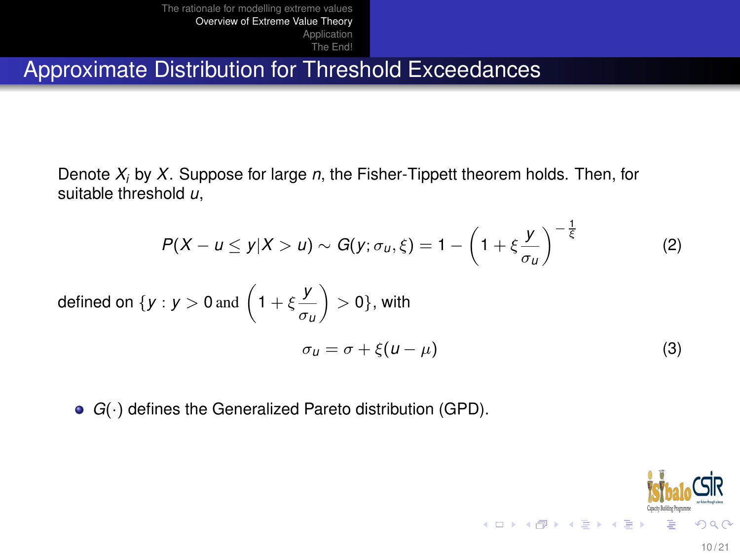Approximate Distribution for Threshold Exceedances

Denote *X<sup>i</sup>* by *X*. Suppose for large *n*, the Fisher-Tippett theorem holds. Then, for suitable threshold *u*,

$$
P(X - u \le y | X > u) \sim G(y; \sigma_u, \xi) = 1 - \left(1 + \xi \frac{y}{\sigma_u}\right)^{-\frac{1}{\xi}} \tag{2}
$$

defined on 
$$
\{y : y > 0 \text{ and } \left(1 + \xi \frac{y}{\sigma_u}\right) > 0\}
$$
, with  

$$
\sigma_u = \sigma + \xi(u - \mu) \tag{3}
$$

*G*(·) defines the Generalized Pareto distribution (GPD).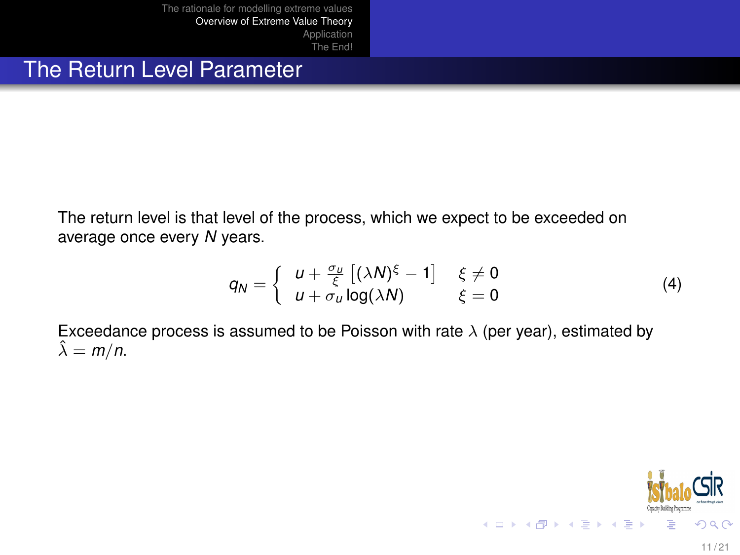#### The Return Level Parameter

The return level is that level of the process, which we expect to be exceeded on average once every *N* years.

$$
q_N = \begin{cases} u + \frac{\sigma_u}{\xi} \left[ (\lambda N)^{\xi} - 1 \right] & \xi \neq 0 \\ u + \sigma_u \log(\lambda N) & \xi = 0 \end{cases}
$$
 (4)

 $\mathcal{A}$ 

Exceedance process is assumed to be Poisson with rate  $\lambda$  (per year), estimated by  $\hat{\lambda} = m/n$ .

$$
\text{Sibab}_{\text{qubit}}\subseteq \text{Sip} \quad \text{and} \quad \text{Sip} \quad \text{Sip} \quad \text{Sip} \quad \text{Sip} \quad \text{Sip} \quad \text{Sip} \quad \text{Sip} \quad \text{Sip} \quad \text{Sip} \quad \text{Sip} \quad \text{Sip} \quad \text{Sip} \quad \text{Sip} \quad \text{Sip} \quad \text{Sip} \quad \text{Sip} \quad \text{Sip} \quad \text{Sip} \quad \text{Sip} \quad \text{Sip} \quad \text{Sip} \quad \text{Sip} \quad \text{Sip} \quad \text{Sip} \quad \text{Sip} \quad \text{Sip} \quad \text{Sip} \quad \text{Sip} \quad \text{Sip} \quad \text{Sip} \quad \text{Sip} \quad \text{Sip} \quad \text{Sip} \quad \text{Sip} \quad \text{Sip} \quad \text{Sip} \quad \text{Sip} \quad \text{Sip} \quad \text{Sip} \quad \text{Sip} \quad \text{Sip} \quad \text{Sip} \quad \text{Sip} \quad \text{Sip} \quad \text{Sip} \quad \text{Sip} \quad \text{Sip} \quad \text{Sip} \quad \text{Sip} \quad \text{Sip} \quad \text{Sip} \quad \text{Sip} \quad \text{Sip} \quad \text{Sip} \quad \text{Sip} \quad \text{Sip} \quad \text{Sip} \quad \text{Sip} \quad \text{Sip} \quad \text{Sip} \quad \text{Sip} \quad \text{Sip} \quad \text{Sip} \quad \text{Sip} \quad \text{Sip} \quad \text{Sip} \quad \text{Sip} \quad \text{Sip} \quad \text{Sip} \quad \text{Sip} \quad \text{Sip} \quad \text{Sip} \quad \text{Sip} \quad \text{Sip} \quad \text{Sip} \quad \text{Sip} \quad \text{Sip} \quad \text{Sip} \quad \text{Sip} \quad \text{Sip} \quad \text{Sip} \quad \text{Sip} \quad \text{Sip} \quad \text{Sip} \quad \text{Sip} \quad \text{Sip} \quad \text{Sip} \quad \text{Sip} \quad \text{Sip} \quad \text{Sip} \quad \text{Sip} \quad \text
$$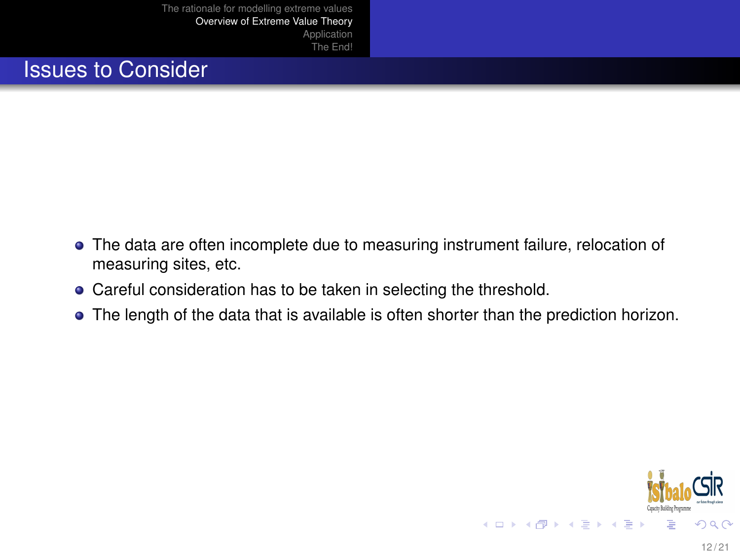#### Issues to Consider

- The data are often incomplete due to measuring instrument failure, relocation of measuring sites, etc.
- Careful consideration has to be taken in selecting the threshold.
- The length of the data that is available is often shorter than the prediction horizon.

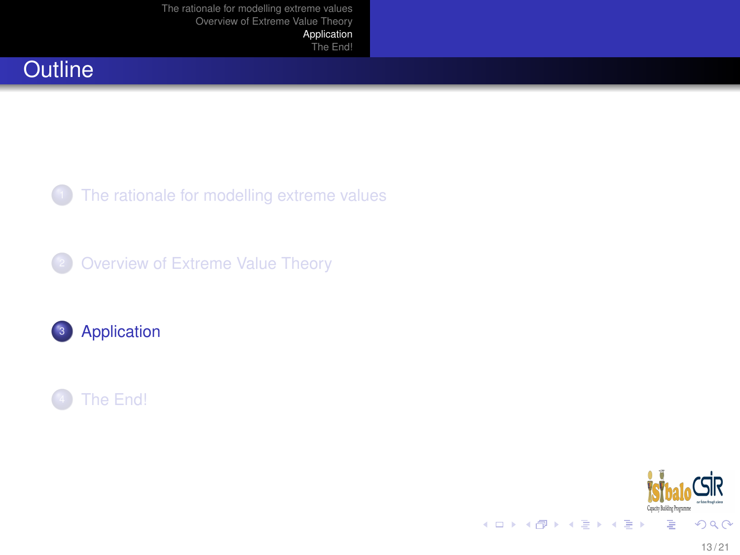[Application](#page-12-0) [The End!](#page-18-0)

## **Outline**

[The rationale for modelling extreme values](#page-2-0)





<span id="page-12-0"></span>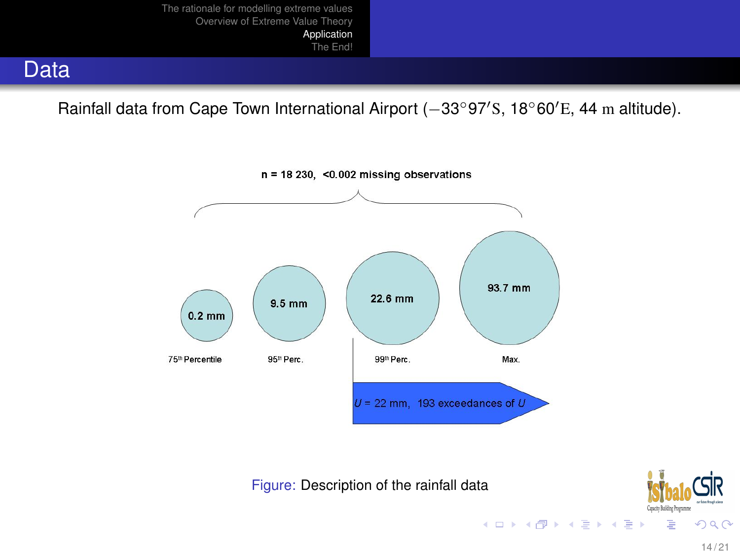

Rainfall data from Cape Town International Airport (−33°97'S, 18°60'E, 44 m altitude).



Figure: Description of the rainfall data



∍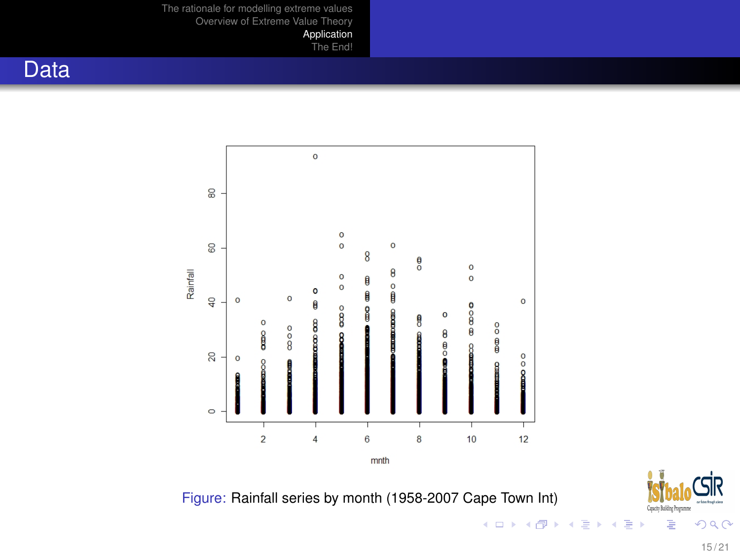[Application](#page-12-0)

[The End!](#page-18-0)

#### Data



Figure: Rainfall series by month (1958-2007 Cape Town Int)

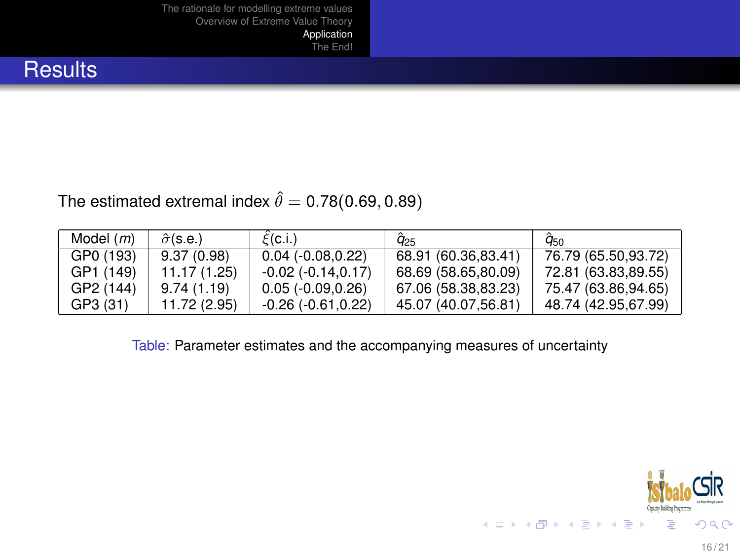[Application](#page-12-0) [The End!](#page-18-0)

#### **Results**

#### The estimated extremal index  $\hat{\theta} = 0.78(0.69, 0.89)$

| Model $(m)$ | $\hat{\sigma}$ (s.e.) | $\mathcal{E}(\mathsf{c}.i.)$ | $q_{25}$            | $q_{50}$            |
|-------------|-----------------------|------------------------------|---------------------|---------------------|
| GP0 (193)   | 9.37(0.98)            | $0.04$ ( $-0.08, 0.22$ )     | 68.91 (60.36,83.41) | 76.79 (65.50,93.72) |
| GP1 (149)   | 11.17 (1.25)          | $-0.02(-0.14, 0.17)$         | 68.69 (58.65,80.09) | 72.81 (63.83,89.55) |
| GP2 (144)   | 9.74(1.19)            | $0.05(-0.09, 0.26)$          | 67.06 (58.38,83.23) | 75.47 (63.86,94.65) |
| GP3 (31)    | 11.72 (2.95)          | $-0.26(-0.61, 0.22)$         | 45.07 (40.07,56.81) | 48.74 (42.95,67.99) |

Table: Parameter estimates and the accompanying measures of uncertainty

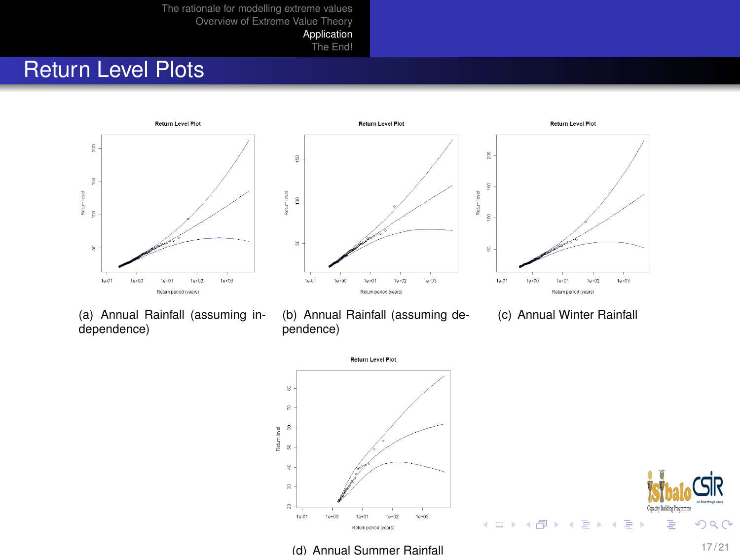[Application](#page-12-0)

[The End!](#page-18-0)

# **Return Level Plots**







(a) Annual Rainfall (assuming independence)

(b) Annual Rainfall (assuming dependence)

(c) Annual Winter Rainfall





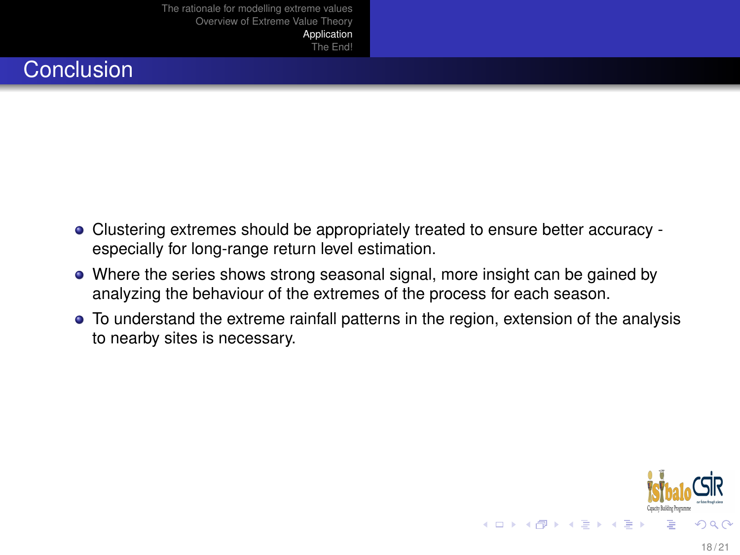[Application](#page-12-0) [The End!](#page-18-0)

#### **Conclusion**

- Clustering extremes should be appropriately treated to ensure better accuracy especially for long-range return level estimation.
- Where the series shows strong seasonal signal, more insight can be gained by analyzing the behaviour of the extremes of the process for each season.
- To understand the extreme rainfall patterns in the region, extension of the analysis to nearby sites is necessary.

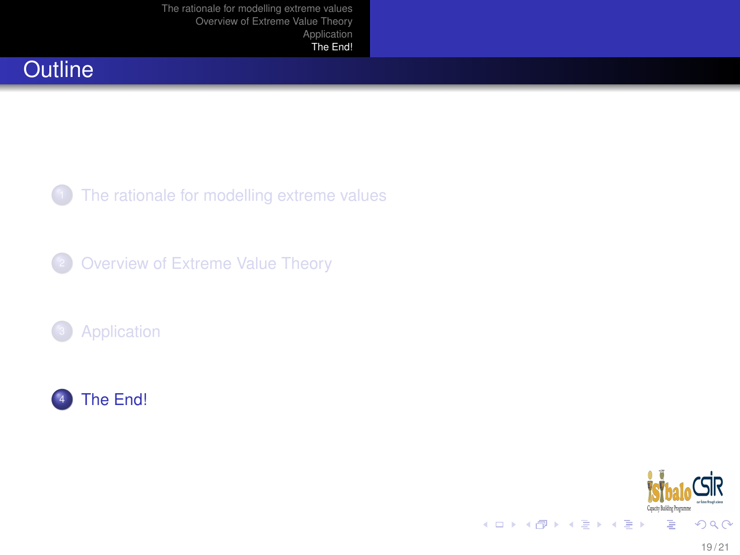# **Outline**

[The rationale for modelling extreme values](#page-2-0)





<span id="page-18-0"></span>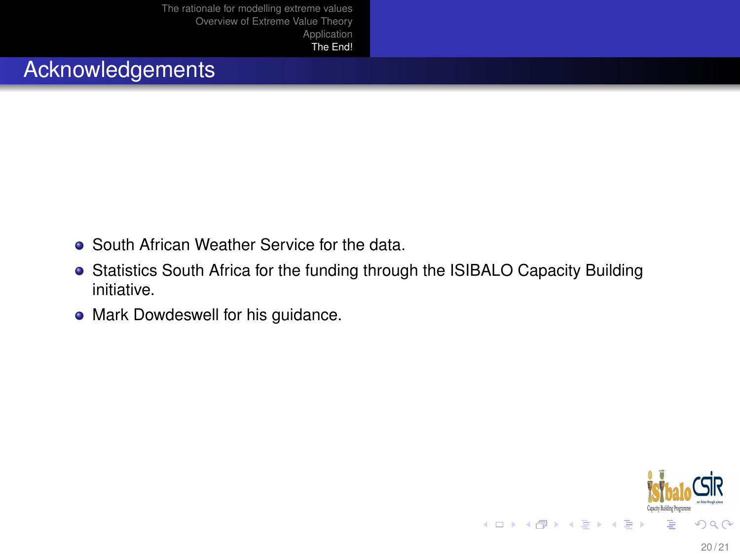### Acknowledgements

- South African Weather Service for the data.
- Statistics South Africa for the funding through the ISIBALO Capacity Building initiative.
- Mark Dowdeswell for his guidance.